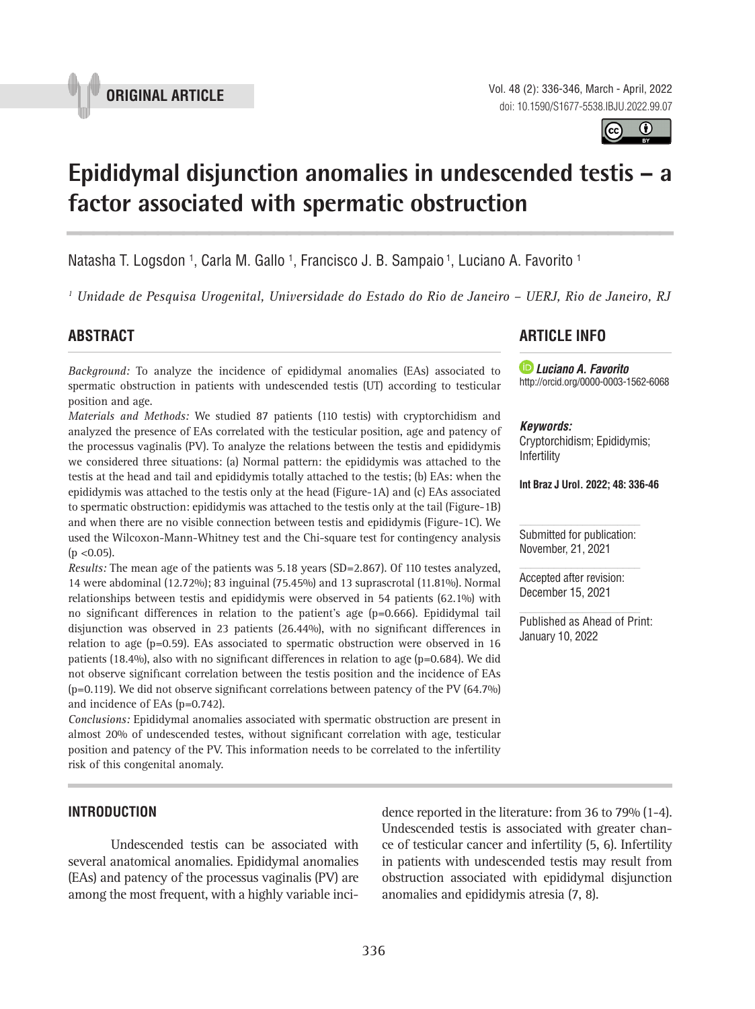



# **Epididymal disjunction anomalies in undescended testis – a factor associated with spermatic obstruction \_\_\_\_\_\_\_\_\_\_\_\_\_\_\_\_\_\_\_\_\_\_\_\_\_\_\_\_\_\_\_\_\_\_\_\_\_\_\_\_\_\_\_\_\_\_\_**

Natasha T. Logsdon 1, Carla M. Gallo 1, Francisco J. B. Sampaio 1, Luciano A. Favorito 1

*1 Unidade de Pesquisa Urogenital, Universidade do Estado do Rio de Janeiro – UERJ, Rio de Janeiro, RJ*

# **ABSTRACT**

*Background:* To analyze the incidence of epididymal anomalies (EAs) associated to spermatic obstruction in patients with undescended testis (UT) according to testicular position and age.

*Materials and Methods:* We studied 87 patients (110 testis) with cryptorchidism and analyzed the presence of EAs correlated with the testicular position, age and patency of the processus vaginalis (PV). To analyze the relations between the testis and epididymis we considered three situations: (a) Normal pattern: the epididymis was attached to the testis at the head and tail and epididymis totally attached to the testis; (b) EAs: when the epididymis was attached to the testis only at the head (Figure-1A) and (c) EAs associated to spermatic obstruction: epididymis was attached to the testis only at the tail (Figure-1B) and when there are no visible connection between testis and epididymis (Figure-1C). We used the Wilcoxon-Mann-Whitney test and the Chi-square test for contingency analysis  $(p \le 0.05)$ .

*Results:* The mean age of the patients was 5.18 years (SD=2.867). Of 110 testes analyzed, 14 were abdominal (12.72%); 83 inguinal (75.45%) and 13 suprascrotal (11.81%). Normal relationships between testis and epididymis were observed in 54 patients (62.1%) with no significant differences in relation to the patient's age (p=0.666). Epididymal tail disjunction was observed in 23 patients (26.44%), with no significant differences in relation to age  $(p=0.59)$ . EAs associated to spermatic obstruction were observed in 16 patients (18.4%), also with no significant differences in relation to age (p=0.684). We did not observe significant correlation between the testis position and the incidence of EAs  $(p=0.119)$ . We did not observe significant correlations between patency of the PV  $(64.7\%)$ and incidence of EAs (p=0.742).

*Conclusions:* Epididymal anomalies associated with spermatic obstruction are present in almost 20% of undescended testes, without significant correlation with age, testicular position and patency of the PV. This information needs to be correlated to the infertility risk of this congenital anomaly.

## **INTRODUCTION**

Undescended testis can be associated with several anatomical anomalies. Epididymal anomalies (EAs) and patency of the processus vaginalis (PV) are among the most frequent, with a highly variable incidence reported in the literature: from 36 to 79% (1-4). Undescended testis is associated with greater chance of testicular cancer and infertility (5, 6). Infertility in patients with undescended testis may result from obstruction associated with epididymal disjunction anomalies and epididymis atresia (7, 8).

## **ARTICLE INFO**

 *Luciano A. Favorito* http://orcid.org/0000-0003-1562-6068

#### *Keywords:*

Cryptorchidism; Epididymis; Infertility

**Int Braz J Urol. 2022; 48: 336-46**

Submitted for publication: November, 21, 2021

Accepted after revision: December 15, 2021

Published as Ahead of Print: January 10, 2022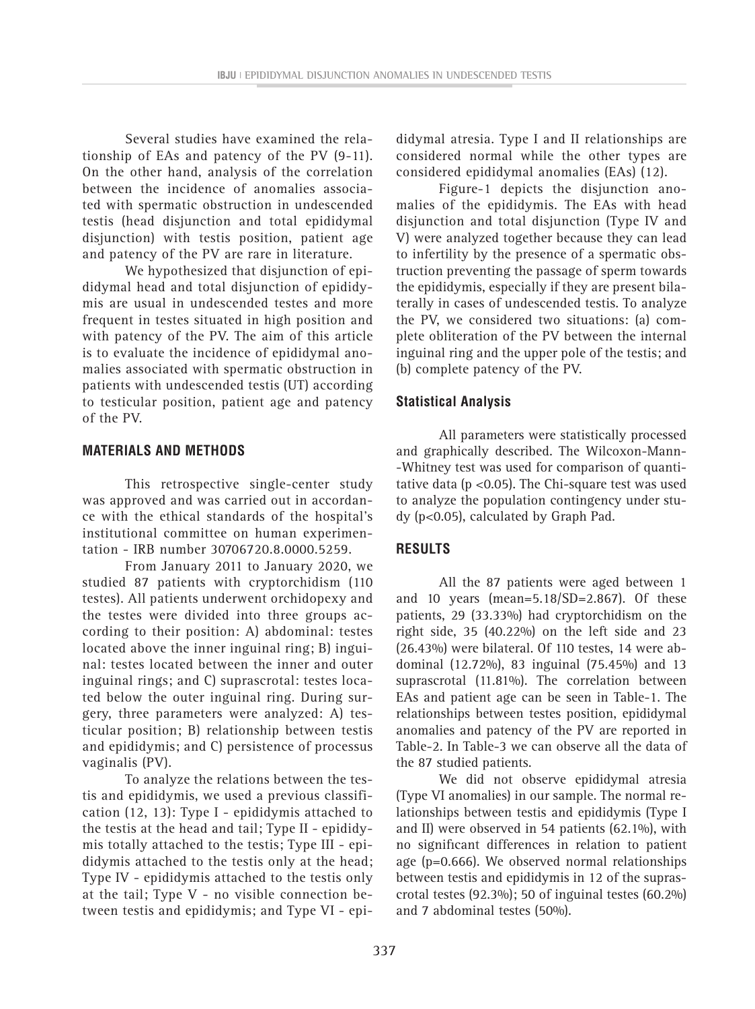Several studies have examined the relationship of EAs and patency of the PV (9-11). On the other hand, analysis of the correlation between the incidence of anomalies associated with spermatic obstruction in undescended testis (head disjunction and total epididymal disjunction) with testis position, patient age and patency of the PV are rare in literature.

We hypothesized that disjunction of epididymal head and total disjunction of epididymis are usual in undescended testes and more frequent in testes situated in high position and with patency of the PV. The aim of this article is to evaluate the incidence of epididymal anomalies associated with spermatic obstruction in patients with undescended testis (UT) according to testicular position, patient age and patency of the PV.

## **MATERIALS AND METHODS**

This retrospective single-center study was approved and was carried out in accordance with the ethical standards of the hospital's institutional committee on human experimentation - IRB number 30706720.8.0000.5259.

From January 2011 to January 2020, we studied 87 patients with cryptorchidism (110 testes). All patients underwent orchidopexy and the testes were divided into three groups according to their position: A) abdominal: testes located above the inner inguinal ring; B) inguinal: testes located between the inner and outer inguinal rings; and C) suprascrotal: testes located below the outer inguinal ring. During surgery, three parameters were analyzed: A) testicular position; B) relationship between testis and epididymis; and C) persistence of processus vaginalis (PV).

To analyze the relations between the testis and epididymis, we used a previous classification (12, 13): Type I - epididymis attached to the testis at the head and tail; Type II - epididymis totally attached to the testis; Type III - epididymis attached to the testis only at the head; Type IV - epididymis attached to the testis only at the tail; Type V - no visible connection between testis and epididymis; and Type VI - epi-

didymal atresia. Type I and II relationships are considered normal while the other types are considered epididymal anomalies (EAs) (12).

Figure-1 depicts the disjunction anomalies of the epididymis. The EAs with head disjunction and total disjunction (Type IV and V) were analyzed together because they can lead to infertility by the presence of a spermatic obstruction preventing the passage of sperm towards the epididymis, especially if they are present bilaterally in cases of undescended testis. To analyze the PV, we considered two situations: (a) complete obliteration of the PV between the internal inguinal ring and the upper pole of the testis; and (b) complete patency of the PV.

## **Statistical Analysis**

All parameters were statistically processed and graphically described. The Wilcoxon-Mann- -Whitney test was used for comparison of quantitative data (p <0.05). The Chi-square test was used to analyze the population contingency under study (p<0.05), calculated by Graph Pad.

# **RESULTS**

All the 87 patients were aged between 1 and 10 years (mean=5.18/SD=2.867). Of these patients, 29 (33.33%) had cryptorchidism on the right side, 35 (40.22%) on the left side and 23 (26.43%) were bilateral. Of 110 testes, 14 were abdominal (12.72%), 83 inguinal (75.45%) and 13 suprascrotal (11.81%). The correlation between EAs and patient age can be seen in Table-1. The relationships between testes position, epididymal anomalies and patency of the PV are reported in Table-2. In Table-3 we can observe all the data of the 87 studied patients.

We did not observe epididymal atresia (Type VI anomalies) in our sample. The normal relationships between testis and epididymis (Type I and II) were observed in 54 patients (62.1%), with no significant differences in relation to patient age (p=0.666). We observed normal relationships between testis and epididymis in 12 of the suprascrotal testes (92.3%); 50 of inguinal testes (60.2%) and 7 abdominal testes (50%).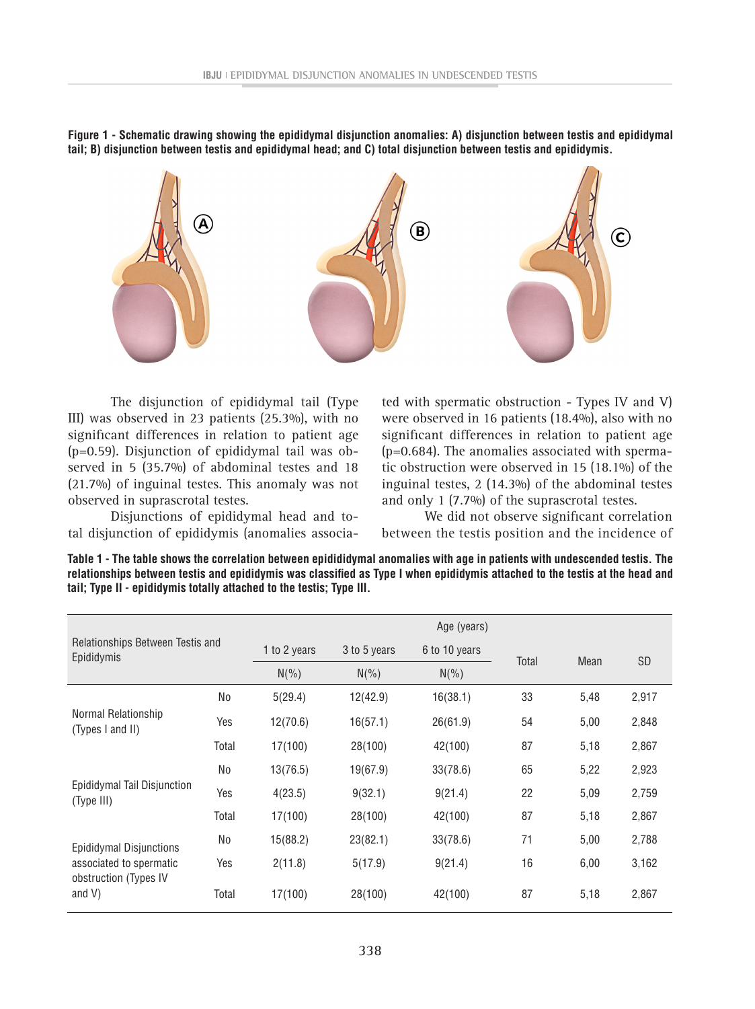**Figure 1 - Schematic drawing showing the epididymal disjunction anomalies: A) disjunction between testis and epididymal tail; B) disjunction between testis and epididymal head; and C) total disjunction between testis and epididymis.**



The disjunction of epididymal tail (Type III) was observed in 23 patients (25.3%), with no significant differences in relation to patient age (p=0.59). Disjunction of epididymal tail was observed in 5 (35.7%) of abdominal testes and 18 (21.7%) of inguinal testes. This anomaly was not observed in suprascrotal testes.

Disjunctions of epididymal head and total disjunction of epididymis (anomalies associated with spermatic obstruction - Types IV and V) were observed in 16 patients (18.4%), also with no significant differences in relation to patient age (p=0.684). The anomalies associated with spermatic obstruction were observed in 15 (18.1%) of the inguinal testes, 2 (14.3%) of the abdominal testes and only 1 (7.7%) of the suprascrotal testes.

We did not observe significant correlation between the testis position and the incidence of

**Table 1 - The table shows the correlation between epidididymal anomalies with age in patients with undescended testis. The relationships between testis and epididymis was classified as Type I when epididymis attached to the testis at the head and tail; Type II - epididymis totally attached to the testis; Type III.**

| Relationships Between Testis and<br>Epididymis                                           |       | Age (years)  |                               |          |      |           |       |  |
|------------------------------------------------------------------------------------------|-------|--------------|-------------------------------|----------|------|-----------|-------|--|
|                                                                                          |       | 1 to 2 years | 3 to 5 years<br>6 to 10 years | Total    | Mean | <b>SD</b> |       |  |
|                                                                                          |       | $N(\% )$     | $N(\% )$                      | $N(\% )$ |      |           |       |  |
|                                                                                          | No    | 5(29.4)      | 12(42.9)                      | 16(38.1) | 33   | 5,48      | 2,917 |  |
| Normal Relationship<br>(Types I and II)                                                  | Yes   | 12(70.6)     | 16(57.1)                      | 26(61.9) | 54   | 5,00      | 2,848 |  |
|                                                                                          | Total | 17(100)      | 28(100)                       | 42(100)  | 87   | 5,18      | 2,867 |  |
|                                                                                          | No    | 13(76.5)     | 19(67.9)                      | 33(78.6) | 65   | 5,22      | 2,923 |  |
| Epididymal Tail Disjunction<br>(Type III)                                                | Yes   | 4(23.5)      | 9(32.1)                       | 9(21.4)  | 22   | 5,09      | 2,759 |  |
|                                                                                          | Total | 17(100)      | 28(100)                       | 42(100)  | 87   | 5,18      | 2,867 |  |
| Epididymal Disjunctions<br>associated to spermatic<br>obstruction (Types IV<br>and $V$ ) | No    | 15(88.2)     | 23(82.1)                      | 33(78.6) | 71   | 5,00      | 2,788 |  |
|                                                                                          | Yes   | 2(11.8)      | 5(17.9)                       | 9(21.4)  | 16   | 6,00      | 3,162 |  |
|                                                                                          | Total | 17(100)      | 28(100)                       | 42(100)  | 87   | 5,18      | 2,867 |  |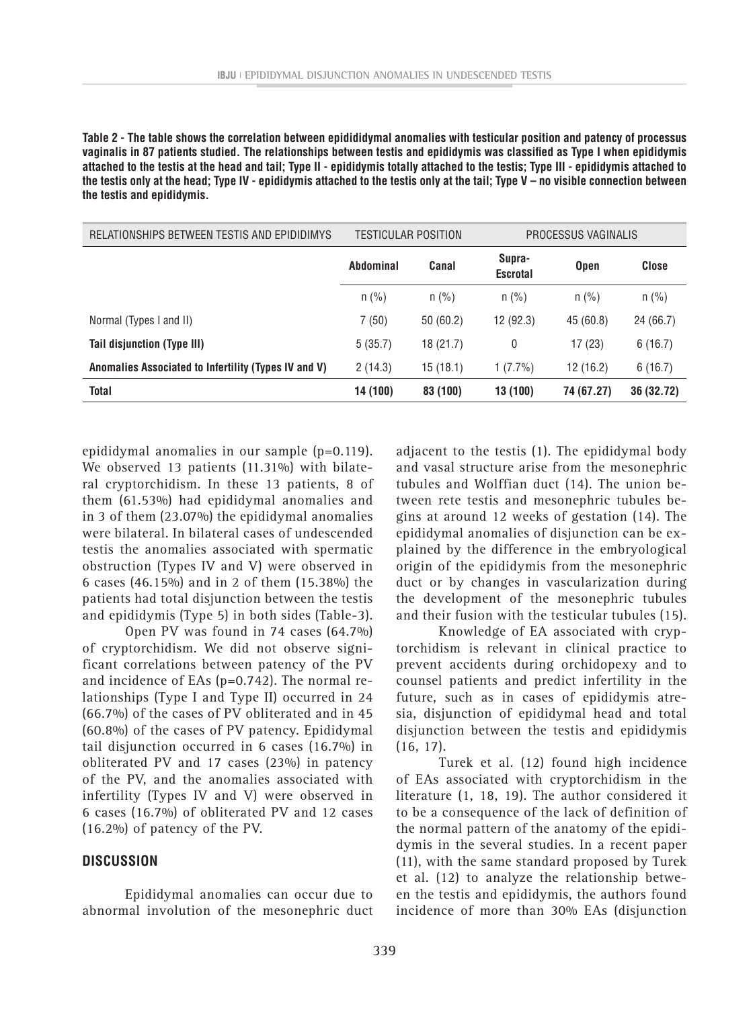**Table 2 - The table shows the correlation between epidididymal anomalies with testicular position and patency of processus vaginalis in 87 patients studied. The relationships between testis and epididymis was classified as Type I when epididymis attached to the testis at the head and tail; Type II - epididymis totally attached to the testis; Type III - epididymis attached to the testis only at the head; Type IV - epididymis attached to the testis only at the tail; Type V – no visible connection between the testis and epididymis.**

| RELATIONSHIPS BETWEEN TESTIS AND EPIDIDIMYS          | TESTICULAR POSITION |          | PROCESSUS VAGINALIS       |             |            |
|------------------------------------------------------|---------------------|----------|---------------------------|-------------|------------|
|                                                      | Abdominal           | Canal    | Supra-<br><b>Escrotal</b> | <b>Open</b> | Close      |
|                                                      | $n$ (%)             | $n$ (%)  | $n$ (%)                   | $n$ (%)     | $n$ (%)    |
| Normal (Types I and II)                              | 7(50)               | 50(60.2) | 12(92.3)                  | 45 (60.8)   | 24 (66.7)  |
| Tail disjunction (Type III)                          | 5(35.7)             | 18(21.7) | 0                         | 17(23)      | 6(16.7)    |
| Anomalies Associated to Infertility (Types IV and V) | 2(14.3)             | 15(18.1) | $1(7.7\%)$                | 12(16.2)    | 6(16.7)    |
| <b>Total</b>                                         | 14 (100)            | 83 (100) | 13 (100)                  | 74 (67.27)  | 36 (32.72) |

epididymal anomalies in our sample (p=0.119). We observed 13 patients (11.31%) with bilateral cryptorchidism. In these 13 patients, 8 of them (61.53%) had epididymal anomalies and in 3 of them (23.07%) the epididymal anomalies were bilateral. In bilateral cases of undescended testis the anomalies associated with spermatic obstruction (Types IV and V) were observed in 6 cases (46.15%) and in 2 of them (15.38%) the patients had total disjunction between the testis and epididymis (Type 5) in both sides (Table-3).

Open PV was found in 74 cases (64.7%) of cryptorchidism. We did not observe significant correlations between patency of the PV and incidence of EAs (p=0.742). The normal relationships (Type I and Type II) occurred in 24 (66.7%) of the cases of PV obliterated and in 45 (60.8%) of the cases of PV patency. Epididymal tail disjunction occurred in 6 cases (16.7%) in obliterated PV and 17 cases (23%) in patency of the PV, and the anomalies associated with infertility (Types IV and V) were observed in 6 cases (16.7%) of obliterated PV and 12 cases (16.2%) of patency of the PV.

#### **DISCUSSION**

Epididymal anomalies can occur due to abnormal involution of the mesonephric duct adjacent to the testis (1). The epididymal body and vasal structure arise from the mesonephric tubules and Wolffian duct (14). The union between rete testis and mesonephric tubules begins at around 12 weeks of gestation (14). The epididymal anomalies of disjunction can be explained by the difference in the embryological origin of the epididymis from the mesonephric duct or by changes in vascularization during the development of the mesonephric tubules and their fusion with the testicular tubules (15).

Knowledge of EA associated with cryptorchidism is relevant in clinical practice to prevent accidents during orchidopexy and to counsel patients and predict infertility in the future, such as in cases of epididymis atresia, disjunction of epididymal head and total disjunction between the testis and epididymis (16, 17).

Turek et al. (12) found high incidence of EAs associated with cryptorchidism in the literature (1, 18, 19). The author considered it to be a consequence of the lack of definition of the normal pattern of the anatomy of the epididymis in the several studies. In a recent paper (11), with the same standard proposed by Turek et al. (12) to analyze the relationship between the testis and epididymis, the authors found incidence of more than 30% EAs (disjunction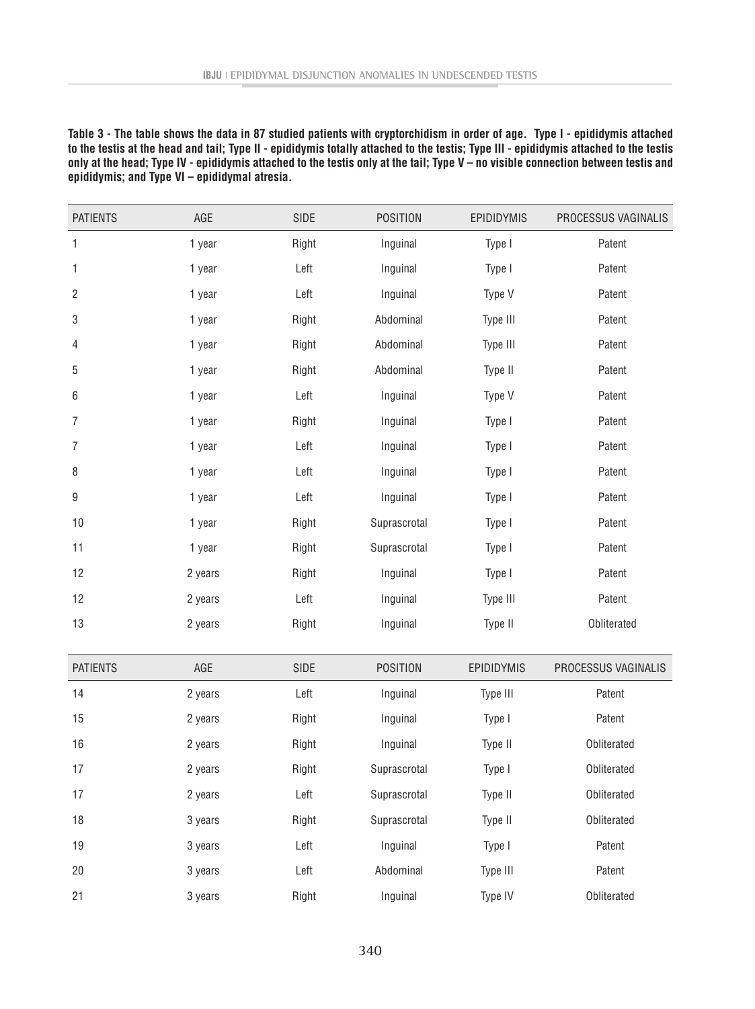**Table 3 - The table shows the data in 87 studied patients with cryptorchidism in order of age. Type I - epididymis attached to the testis at the head and tail; Type II - epididymis totally attached to the testis; Type III - epididymis attached to the testis only at the head; Type IV - epididymis attached to the testis only at the tail; Type V – no visible connection between testis and epididymis; and Type VI – epididymal atresia.**

| <b>PATIENTS</b>           | AGE     | SIDE  | <b>POSITION</b> | EPIDIDYMIS       | PROCESSUS VAGINALIS |
|---------------------------|---------|-------|-----------------|------------------|---------------------|
| $\mathbf{1}$              | 1 year  | Right | Inguinal        | Type I           | Patent              |
| $\mathbf{1}$              | 1 year  | Left  | Inguinal        | Patent<br>Type I |                     |
| $\overline{c}$            | 1 year  | Left  | Inguinal        | Type V           | Patent              |
| $\ensuremath{\mathsf{3}}$ | 1 year  | Right | Abdominal       | Type III         | Patent              |
| $\overline{4}$            | 1 year  | Right | Abdominal       | Type III         | Patent              |
| 5                         | 1 year  | Right | Abdominal       | Type II          | Patent              |
| $\,6\,$                   | 1 year  | Left  | Inguinal        | Type V           | Patent              |
| $\overline{7}$            | 1 year  | Right | Inguinal        | Type I           | Patent              |
| $\overline{7}$            | 1 year  | Left  | Inguinal        | Type I           | Patent              |
| 8                         | 1 year  | Left  | Inguinal        | Type I           | Patent              |
| $\boldsymbol{9}$          | 1 year  | Left  | Inguinal        | Type I           | Patent              |
| 10                        | 1 year  | Right | Suprascrotal    | Type I           | Patent              |
| 11                        | 1 year  | Right | Suprascrotal    | Type I           | Patent              |
| 12                        | 2 years | Right | Inguinal        | Type I           | Patent              |
| 12                        | 2 years | Left  | Inguinal        | Type III         | Patent              |
| 13                        | 2 years | Right | Inguinal        | Type II          | Obliterated         |
|                           |         |       |                 |                  |                     |
| <b>PATIENTS</b>           | AGE     | SIDE  | <b>POSITION</b> | EPIDIDYMIS       | PROCESSUS VAGINALIS |
| 14                        | 2 years | Left  | Inguinal        | Type III         | Patent              |
| 15                        | 2 years | Right | Inguinal        | Type I           | Patent              |
| 16                        | 2 years | Right | Inguinal        | Type II          | Obliterated         |
| 17                        | 2 years | Right | Suprascrotal    | Type I           | Obliterated         |
| 17                        | 2 years | Left  | Suprascrotal    | Type II          | Obliterated         |
| 18                        | 3 years | Right | Suprascrotal    | Type II          | Obliterated         |
| 19                        | 3 years | Left  | Inguinal        | Type I           | Patent              |
| 20                        | 3 years | Left  | Abdominal       | Type III         | Patent              |
| 21                        | 3 years | Right | Inguinal        | Type IV          | Obliterated         |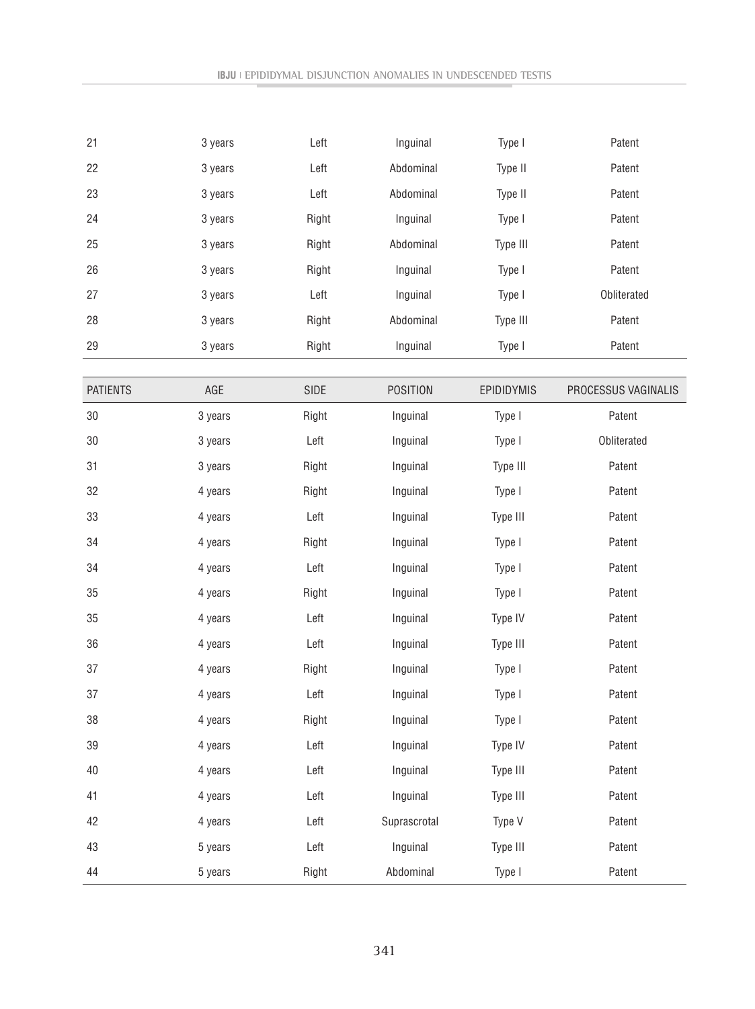| Left<br>22<br>Type II<br>3 years<br>Abdominal<br>Patent<br>Left<br>23<br>Abdominal<br>Type II<br>Patent<br>3 years<br>24<br>Right<br>Inguinal<br>Type I<br>Patent<br>3 years<br>25<br>Type III<br>3 years<br>Right<br>Abdominal<br>Patent<br>26<br>Right<br>Inguinal<br>Type I<br>Patent<br>3 years<br>Left<br>Obliterated<br>27<br>Inguinal<br>Type I<br>3 years<br>28<br>3 years<br>Right<br>Abdominal<br>Type III<br>Patent<br>29<br>Right<br>Inguinal<br>Type I<br>Patent<br>3 years<br>PROCESSUS VAGINALIS<br><b>PATIENTS</b><br>AGE<br>SIDE<br><b>POSITION</b><br>EPIDIDYMIS<br>Patent<br>30<br>3 years<br>Right<br>Inguinal<br>Type I<br>30<br>Left<br>Obliterated<br>Inguinal<br>Type I<br>3 years<br>31<br>Right<br>Inguinal<br>Type III<br>Patent<br>3 years<br>32<br>Inguinal<br>Type I<br>Patent<br>4 years<br>Right<br>33<br>Left<br>Type III<br>4 years<br>Inguinal<br>Patent<br>34<br>Right<br>Inguinal<br>Type I<br>Patent<br>4 years<br>34<br>Left<br>Type I<br>Patent<br>4 years<br>Inguinal<br>35<br>4 years<br>Right<br>Inguinal<br>Type I<br>Patent<br>35<br>Left<br>Inguinal<br>Type IV<br>Patent<br>4 years<br>Type III<br>36<br>Left<br>Inguinal<br>Patent<br>4 years<br>37<br>4 years<br>Inguinal<br>Type I<br>Patent<br>Right<br>Left<br>Type I<br>37<br>Inguinal<br>Patent<br>4 years<br>4 years<br>Right<br>Inguinal<br>Type I<br>Patent<br>38<br>Left<br>Type IV<br>39<br>Inguinal<br>Patent<br>4 years<br>Type III<br>40<br>4 years<br>Left<br>Inguinal<br>Patent<br>Left<br>Inguinal<br>Type III<br>Patent<br>41<br>4 years<br>42<br>Left<br>Suprascrotal<br>Type V<br>Patent<br>4 years<br>43<br>5 years<br>Left<br>Inguinal<br>Type III<br>Patent<br>Patent<br>44<br>Right<br>Abdominal<br>Type I<br>5 years | 21 | 3 years | Left | Inguinal | Type I | Patent |
|-----------------------------------------------------------------------------------------------------------------------------------------------------------------------------------------------------------------------------------------------------------------------------------------------------------------------------------------------------------------------------------------------------------------------------------------------------------------------------------------------------------------------------------------------------------------------------------------------------------------------------------------------------------------------------------------------------------------------------------------------------------------------------------------------------------------------------------------------------------------------------------------------------------------------------------------------------------------------------------------------------------------------------------------------------------------------------------------------------------------------------------------------------------------------------------------------------------------------------------------------------------------------------------------------------------------------------------------------------------------------------------------------------------------------------------------------------------------------------------------------------------------------------------------------------------------------------------------------------------------------------------------------------------------------------------------------------------------------------------------------|----|---------|------|----------|--------|--------|
|                                                                                                                                                                                                                                                                                                                                                                                                                                                                                                                                                                                                                                                                                                                                                                                                                                                                                                                                                                                                                                                                                                                                                                                                                                                                                                                                                                                                                                                                                                                                                                                                                                                                                                                                               |    |         |      |          |        |        |
|                                                                                                                                                                                                                                                                                                                                                                                                                                                                                                                                                                                                                                                                                                                                                                                                                                                                                                                                                                                                                                                                                                                                                                                                                                                                                                                                                                                                                                                                                                                                                                                                                                                                                                                                               |    |         |      |          |        |        |
|                                                                                                                                                                                                                                                                                                                                                                                                                                                                                                                                                                                                                                                                                                                                                                                                                                                                                                                                                                                                                                                                                                                                                                                                                                                                                                                                                                                                                                                                                                                                                                                                                                                                                                                                               |    |         |      |          |        |        |
|                                                                                                                                                                                                                                                                                                                                                                                                                                                                                                                                                                                                                                                                                                                                                                                                                                                                                                                                                                                                                                                                                                                                                                                                                                                                                                                                                                                                                                                                                                                                                                                                                                                                                                                                               |    |         |      |          |        |        |
|                                                                                                                                                                                                                                                                                                                                                                                                                                                                                                                                                                                                                                                                                                                                                                                                                                                                                                                                                                                                                                                                                                                                                                                                                                                                                                                                                                                                                                                                                                                                                                                                                                                                                                                                               |    |         |      |          |        |        |
|                                                                                                                                                                                                                                                                                                                                                                                                                                                                                                                                                                                                                                                                                                                                                                                                                                                                                                                                                                                                                                                                                                                                                                                                                                                                                                                                                                                                                                                                                                                                                                                                                                                                                                                                               |    |         |      |          |        |        |
|                                                                                                                                                                                                                                                                                                                                                                                                                                                                                                                                                                                                                                                                                                                                                                                                                                                                                                                                                                                                                                                                                                                                                                                                                                                                                                                                                                                                                                                                                                                                                                                                                                                                                                                                               |    |         |      |          |        |        |
|                                                                                                                                                                                                                                                                                                                                                                                                                                                                                                                                                                                                                                                                                                                                                                                                                                                                                                                                                                                                                                                                                                                                                                                                                                                                                                                                                                                                                                                                                                                                                                                                                                                                                                                                               |    |         |      |          |        |        |
|                                                                                                                                                                                                                                                                                                                                                                                                                                                                                                                                                                                                                                                                                                                                                                                                                                                                                                                                                                                                                                                                                                                                                                                                                                                                                                                                                                                                                                                                                                                                                                                                                                                                                                                                               |    |         |      |          |        |        |
|                                                                                                                                                                                                                                                                                                                                                                                                                                                                                                                                                                                                                                                                                                                                                                                                                                                                                                                                                                                                                                                                                                                                                                                                                                                                                                                                                                                                                                                                                                                                                                                                                                                                                                                                               |    |         |      |          |        |        |
|                                                                                                                                                                                                                                                                                                                                                                                                                                                                                                                                                                                                                                                                                                                                                                                                                                                                                                                                                                                                                                                                                                                                                                                                                                                                                                                                                                                                                                                                                                                                                                                                                                                                                                                                               |    |         |      |          |        |        |
|                                                                                                                                                                                                                                                                                                                                                                                                                                                                                                                                                                                                                                                                                                                                                                                                                                                                                                                                                                                                                                                                                                                                                                                                                                                                                                                                                                                                                                                                                                                                                                                                                                                                                                                                               |    |         |      |          |        |        |
|                                                                                                                                                                                                                                                                                                                                                                                                                                                                                                                                                                                                                                                                                                                                                                                                                                                                                                                                                                                                                                                                                                                                                                                                                                                                                                                                                                                                                                                                                                                                                                                                                                                                                                                                               |    |         |      |          |        |        |
|                                                                                                                                                                                                                                                                                                                                                                                                                                                                                                                                                                                                                                                                                                                                                                                                                                                                                                                                                                                                                                                                                                                                                                                                                                                                                                                                                                                                                                                                                                                                                                                                                                                                                                                                               |    |         |      |          |        |        |
|                                                                                                                                                                                                                                                                                                                                                                                                                                                                                                                                                                                                                                                                                                                                                                                                                                                                                                                                                                                                                                                                                                                                                                                                                                                                                                                                                                                                                                                                                                                                                                                                                                                                                                                                               |    |         |      |          |        |        |
|                                                                                                                                                                                                                                                                                                                                                                                                                                                                                                                                                                                                                                                                                                                                                                                                                                                                                                                                                                                                                                                                                                                                                                                                                                                                                                                                                                                                                                                                                                                                                                                                                                                                                                                                               |    |         |      |          |        |        |
|                                                                                                                                                                                                                                                                                                                                                                                                                                                                                                                                                                                                                                                                                                                                                                                                                                                                                                                                                                                                                                                                                                                                                                                                                                                                                                                                                                                                                                                                                                                                                                                                                                                                                                                                               |    |         |      |          |        |        |
|                                                                                                                                                                                                                                                                                                                                                                                                                                                                                                                                                                                                                                                                                                                                                                                                                                                                                                                                                                                                                                                                                                                                                                                                                                                                                                                                                                                                                                                                                                                                                                                                                                                                                                                                               |    |         |      |          |        |        |
|                                                                                                                                                                                                                                                                                                                                                                                                                                                                                                                                                                                                                                                                                                                                                                                                                                                                                                                                                                                                                                                                                                                                                                                                                                                                                                                                                                                                                                                                                                                                                                                                                                                                                                                                               |    |         |      |          |        |        |
|                                                                                                                                                                                                                                                                                                                                                                                                                                                                                                                                                                                                                                                                                                                                                                                                                                                                                                                                                                                                                                                                                                                                                                                                                                                                                                                                                                                                                                                                                                                                                                                                                                                                                                                                               |    |         |      |          |        |        |
|                                                                                                                                                                                                                                                                                                                                                                                                                                                                                                                                                                                                                                                                                                                                                                                                                                                                                                                                                                                                                                                                                                                                                                                                                                                                                                                                                                                                                                                                                                                                                                                                                                                                                                                                               |    |         |      |          |        |        |
|                                                                                                                                                                                                                                                                                                                                                                                                                                                                                                                                                                                                                                                                                                                                                                                                                                                                                                                                                                                                                                                                                                                                                                                                                                                                                                                                                                                                                                                                                                                                                                                                                                                                                                                                               |    |         |      |          |        |        |
|                                                                                                                                                                                                                                                                                                                                                                                                                                                                                                                                                                                                                                                                                                                                                                                                                                                                                                                                                                                                                                                                                                                                                                                                                                                                                                                                                                                                                                                                                                                                                                                                                                                                                                                                               |    |         |      |          |        |        |
|                                                                                                                                                                                                                                                                                                                                                                                                                                                                                                                                                                                                                                                                                                                                                                                                                                                                                                                                                                                                                                                                                                                                                                                                                                                                                                                                                                                                                                                                                                                                                                                                                                                                                                                                               |    |         |      |          |        |        |
|                                                                                                                                                                                                                                                                                                                                                                                                                                                                                                                                                                                                                                                                                                                                                                                                                                                                                                                                                                                                                                                                                                                                                                                                                                                                                                                                                                                                                                                                                                                                                                                                                                                                                                                                               |    |         |      |          |        |        |
|                                                                                                                                                                                                                                                                                                                                                                                                                                                                                                                                                                                                                                                                                                                                                                                                                                                                                                                                                                                                                                                                                                                                                                                                                                                                                                                                                                                                                                                                                                                                                                                                                                                                                                                                               |    |         |      |          |        |        |
|                                                                                                                                                                                                                                                                                                                                                                                                                                                                                                                                                                                                                                                                                                                                                                                                                                                                                                                                                                                                                                                                                                                                                                                                                                                                                                                                                                                                                                                                                                                                                                                                                                                                                                                                               |    |         |      |          |        |        |
|                                                                                                                                                                                                                                                                                                                                                                                                                                                                                                                                                                                                                                                                                                                                                                                                                                                                                                                                                                                                                                                                                                                                                                                                                                                                                                                                                                                                                                                                                                                                                                                                                                                                                                                                               |    |         |      |          |        |        |
|                                                                                                                                                                                                                                                                                                                                                                                                                                                                                                                                                                                                                                                                                                                                                                                                                                                                                                                                                                                                                                                                                                                                                                                                                                                                                                                                                                                                                                                                                                                                                                                                                                                                                                                                               |    |         |      |          |        |        |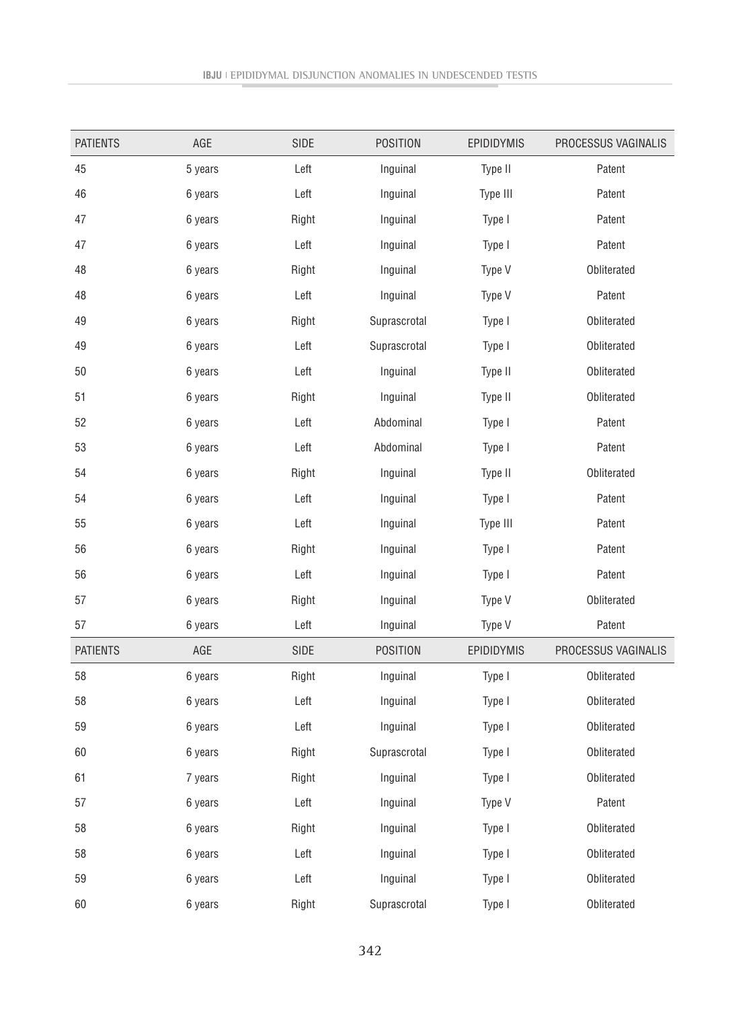| <b>PATIENTS</b> | AGE     | SIDE  | <b>POSITION</b> | EPIDIDYMIS         | PROCESSUS VAGINALIS |
|-----------------|---------|-------|-----------------|--------------------|---------------------|
| 45              | 5 years | Left  | Inguinal        | Type II            | Patent              |
| 46              | 6 years | Left  | Inguinal        | Type III<br>Patent |                     |
| 47              | 6 years | Right | Inguinal        | Type I             | Patent              |
| 47              | 6 years | Left  | Inguinal        | Type I             | Patent              |
| 48              | 6 years | Right | Inguinal        | Type V             | Obliterated         |
| 48              | 6 years | Left  | Inguinal        | Type V             | Patent              |
| 49              | 6 years | Right | Suprascrotal    | Type I             | Obliterated         |
| 49              | 6 years | Left  | Suprascrotal    | Type I             | Obliterated         |
| 50              | 6 years | Left  | Inguinal        | Type II            | Obliterated         |
| 51              | 6 years | Right | Inguinal        | Type II            | Obliterated         |
| 52              | 6 years | Left  | Abdominal       | Type I             | Patent              |
| 53              | 6 years | Left  | Abdominal       | Type I             | Patent              |
| 54              | 6 years | Right | Inguinal        | Type II            | Obliterated         |
| 54              | 6 years | Left  | Inguinal        | Type I             | Patent              |
| 55              | 6 years | Left  | Inguinal        | Type III           | Patent              |
| 56              | 6 years | Right | Inguinal        | Type I             | Patent              |
| 56              | 6 years | Left  | Inguinal        | Type I             | Patent              |
| 57              | 6 years | Right | Inguinal        | Type V             | Obliterated         |
| 57              | 6 years | Left  | Inguinal        | Type V             | Patent              |
| <b>PATIENTS</b> | AGE     | SIDE  | <b>POSITION</b> | EPIDIDYMIS         | PROCESSUS VAGINALIS |
| 58              | 6 years | Right | Inguinal        | Type I             | Obliterated         |
| 58              | 6 years | Left  | Inguinal        | Type I             | Obliterated         |
| 59              | 6 years | Left  | Inguinal        | Type I             | Obliterated         |
| 60              | 6 years | Right | Suprascrotal    | Type I             | Obliterated         |
| 61              | 7 years | Right | Inguinal        | Type I             | Obliterated         |
| 57              | 6 years | Left  | Inguinal        | Type V             | Patent              |
| 58              | 6 years | Right | Inguinal        | Type I             | Obliterated         |
| 58              | 6 years | Left  | Inguinal        | Type I             | Obliterated         |
| 59              | 6 years | Left  | Inguinal        | Type I             | Obliterated         |
| 60              | 6 years | Right | Suprascrotal    | Type I             | Obliterated         |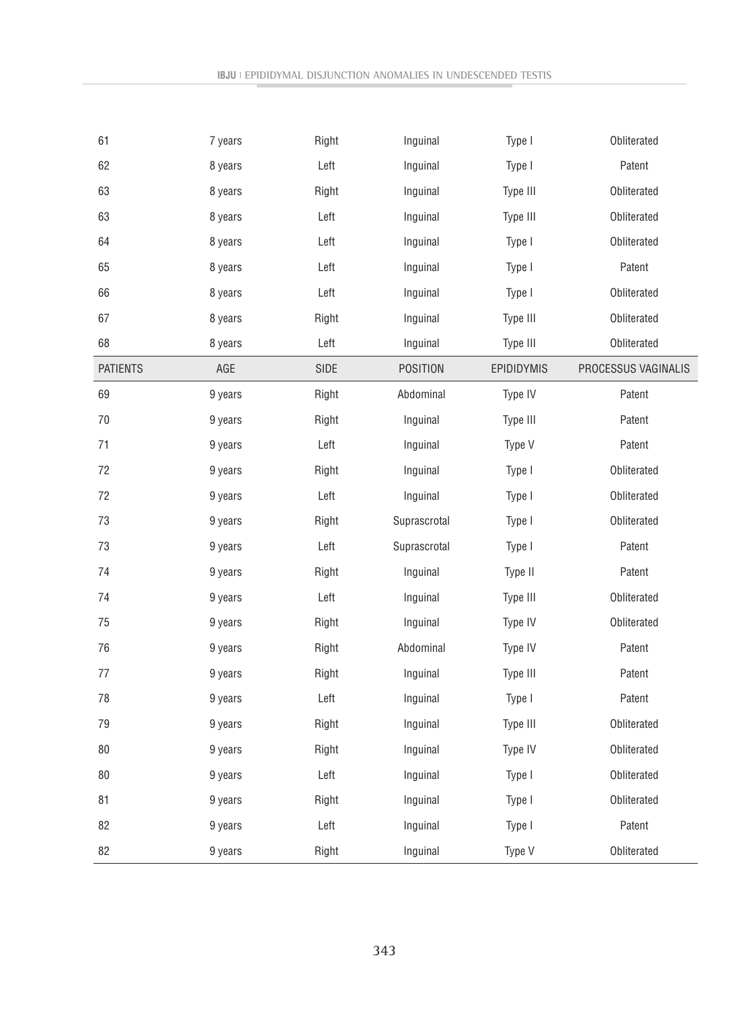| 61              | 7 years | Right        | Inguinal        | Type I     | Obliterated         |
|-----------------|---------|--------------|-----------------|------------|---------------------|
| 62              | 8 years | Left         | Inguinal        | Type I     | Patent              |
| 63              | 8 years | Right        | Inguinal        | Type III   | Obliterated         |
| 63              | 8 years | Left         | Inguinal        | Type III   | Obliterated         |
| 64              | 8 years | Left         | Inguinal        | Type I     | Obliterated         |
| 65              | 8 years | Left         | Inguinal        | Type I     | Patent              |
| 66              | 8 years | ${\sf Left}$ | Inguinal        | Type I     | Obliterated         |
| 67              | 8 years | Right        | Inguinal        | Type III   | Obliterated         |
| 68              | 8 years | Left         | Inguinal        | Type III   | Obliterated         |
| <b>PATIENTS</b> | AGE     | SIDE         | <b>POSITION</b> | EPIDIDYMIS | PROCESSUS VAGINALIS |
| 69              | 9 years | Right        | Abdominal       | Type IV    | Patent              |
| 70              | 9 years | Right        | Inguinal        | Type III   | Patent              |
| 71              | 9 years | Left         | Inguinal        | Type V     | Patent              |
| 72              | 9 years | Right        | Inguinal        | Type I     | Obliterated         |
| 72              | 9 years | Left         | Inguinal        | Type I     | Obliterated         |
| 73              | 9 years | Right        | Suprascrotal    | Type I     | Obliterated         |
| 73              | 9 years | Left         | Suprascrotal    | Type I     | Patent              |
| 74              | 9 years | Right        | Inguinal        | Type II    | Patent              |
| 74              | 9 years | Left         | Inguinal        | Type III   | Obliterated         |
| 75              | 9 years | Right        | Inguinal        | Type IV    | Obliterated         |
| 76              | 9 years | Right        | Abdominal       | Type IV    | Patent              |
| 77              | 9 years | Right        | Inguinal        | Type III   | Patent              |
| 78              | 9 years | Left         | Inguinal        | Type I     | Patent              |
| 79              | 9 years | Right        | Inguinal        | Type III   | Obliterated         |
| 80              | 9 years | Right        | Inguinal        | Type IV    | Obliterated         |
| 80              | 9 years | Left         | Inguinal        | Type I     | Obliterated         |
| 81              | 9 years | Right        | Inguinal        | Type I     | Obliterated         |
| 82              | 9 years | Left         | Inguinal        | Type I     | Patent              |
| 82              | 9 years | Right        | Inguinal        | Type V     | Obliterated         |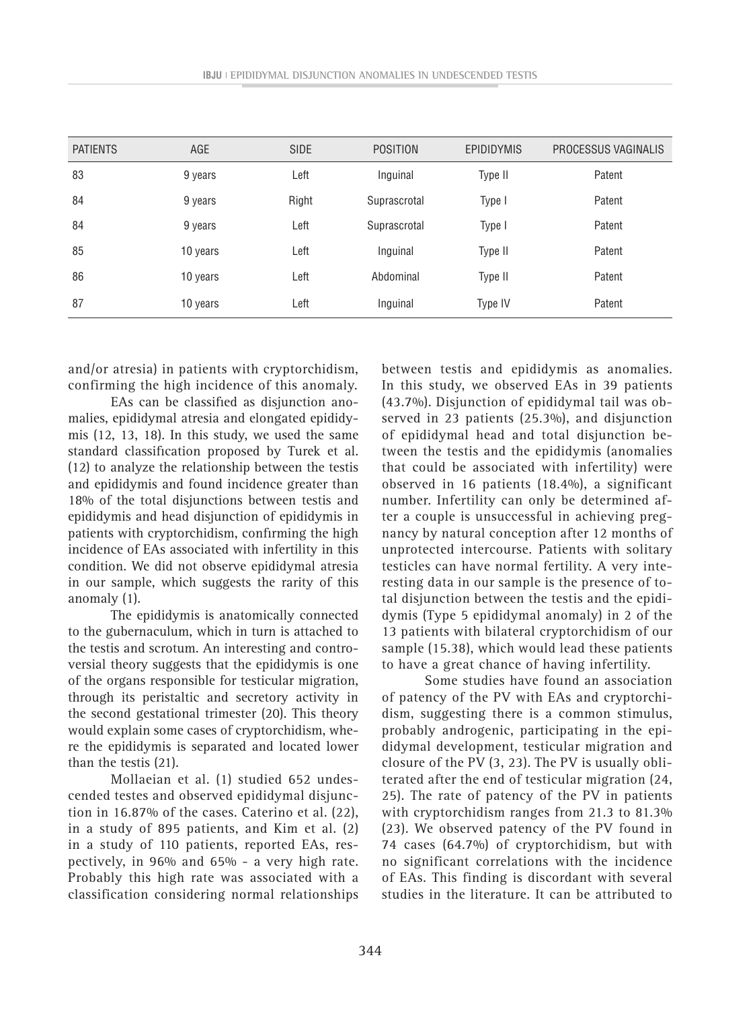| <b>PATIENTS</b> | <b>AGE</b> | <b>SIDE</b> | <b>POSITION</b> | <b>EPIDIDYMIS</b> | PROCESSUS VAGINALIS |
|-----------------|------------|-------------|-----------------|-------------------|---------------------|
| 83              | 9 years    | Left        | Inguinal        | Type II           | Patent              |
| 84              | 9 years    | Right       | Suprascrotal    | Type I            | Patent              |
| 84              | 9 years    | Left        | Suprascrotal    | Type I            | Patent              |
| 85              | 10 years   | Left        | Inguinal        | Type II           | Patent              |
| 86              | 10 years   | Left        | Abdominal       | Type II           | Patent              |
| 87              | 10 years   | Left        | Inguinal        | Type IV           | Patent              |

and/or atresia) in patients with cryptorchidism, confirming the high incidence of this anomaly.

EAs can be classified as disjunction anomalies, epididymal atresia and elongated epididymis (12, 13, 18). In this study, we used the same standard classification proposed by Turek et al. (12) to analyze the relationship between the testis and epididymis and found incidence greater than 18% of the total disjunctions between testis and epididymis and head disjunction of epididymis in patients with cryptorchidism, confirming the high incidence of EAs associated with infertility in this condition. We did not observe epididymal atresia in our sample, which suggests the rarity of this anomaly (1).

The epididymis is anatomically connected to the gubernaculum, which in turn is attached to the testis and scrotum. An interesting and controversial theory suggests that the epididymis is one of the organs responsible for testicular migration, through its peristaltic and secretory activity in the second gestational trimester (20). This theory would explain some cases of cryptorchidism, where the epididymis is separated and located lower than the testis (21).

Mollaeian et al. (1) studied 652 undescended testes and observed epididymal disjunction in 16.87% of the cases. Caterino et al. (22), in a study of 895 patients, and Kim et al. (2) in a study of 110 patients, reported EAs, respectively, in 96% and 65% - a very high rate. Probably this high rate was associated with a classification considering normal relationships between testis and epididymis as anomalies. In this study, we observed EAs in 39 patients (43.7%). Disjunction of epididymal tail was observed in 23 patients (25.3%), and disjunction of epididymal head and total disjunction between the testis and the epididymis (anomalies that could be associated with infertility) were observed in 16 patients (18.4%), a significant number. Infertility can only be determined after a couple is unsuccessful in achieving pregnancy by natural conception after 12 months of unprotected intercourse. Patients with solitary testicles can have normal fertility. A very interesting data in our sample is the presence of total disjunction between the testis and the epididymis (Type 5 epididymal anomaly) in 2 of the 13 patients with bilateral cryptorchidism of our sample (15.38), which would lead these patients to have a great chance of having infertility.

Some studies have found an association of patency of the PV with EAs and cryptorchidism, suggesting there is a common stimulus, probably androgenic, participating in the epididymal development, testicular migration and closure of the PV (3, 23). The PV is usually obliterated after the end of testicular migration (24, 25). The rate of patency of the PV in patients with cryptorchidism ranges from 21.3 to 81.3% (23). We observed patency of the PV found in 74 cases (64.7%) of cryptorchidism, but with no significant correlations with the incidence of EAs. This finding is discordant with several studies in the literature. It can be attributed to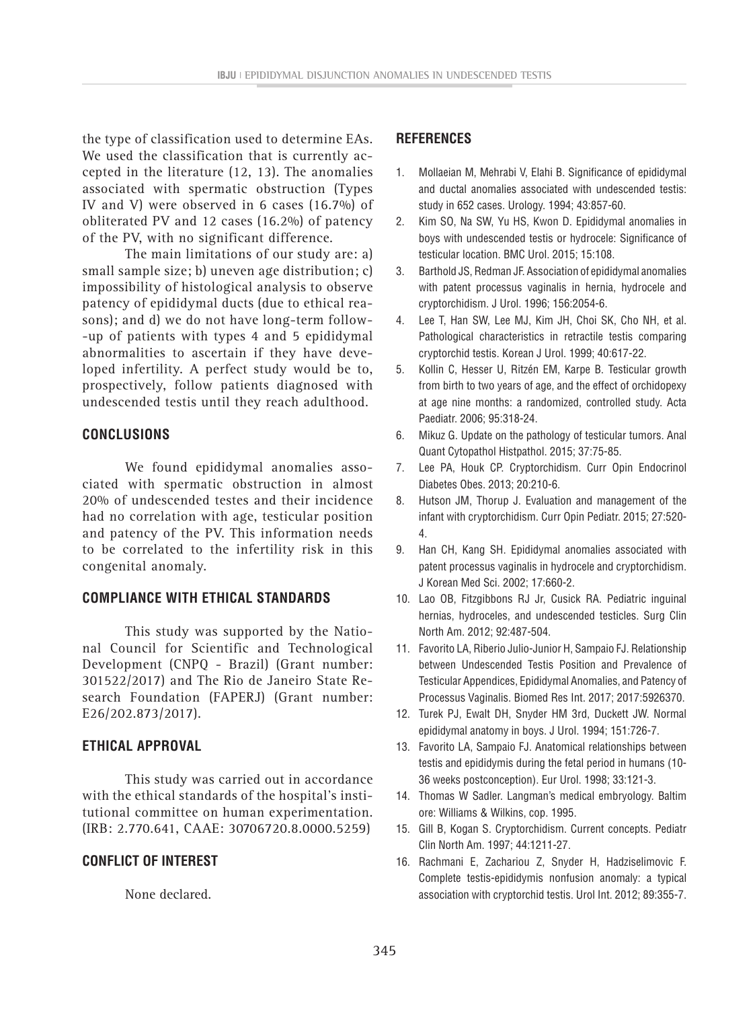the type of classification used to determine EAs. We used the classification that is currently accepted in the literature (12, 13). The anomalies associated with spermatic obstruction (Types IV and V) were observed in 6 cases (16.7%) of obliterated PV and 12 cases (16.2%) of patency of the PV, with no significant difference.

The main limitations of our study are: a) small sample size; b) uneven age distribution; c) impossibility of histological analysis to observe patency of epididymal ducts (due to ethical reasons); and d) we do not have long-term follow- -up of patients with types 4 and 5 epididymal abnormalities to ascertain if they have developed infertility. A perfect study would be to, prospectively, follow patients diagnosed with undescended testis until they reach adulthood.

## **CONCLUSIONS**

We found epididymal anomalies associated with spermatic obstruction in almost 20% of undescended testes and their incidence had no correlation with age, testicular position and patency of the PV. This information needs to be correlated to the infertility risk in this congenital anomaly.

#### **COMPLIANCE WITH ETHICAL STANDARDS**

This study was supported by the National Council for Scientific and Technological Development (CNPQ - Brazil) (Grant number: 301522/2017) and The Rio de Janeiro State Research Foundation (FAPERJ) (Grant number: E26/202.873/2017).

## **ETHICAL APPROVAL**

This study was carried out in accordance with the ethical standards of the hospital's institutional committee on human experimentation. (IRB: 2.770.641, CAAE: 30706720.8.0000.5259)

#### **CONFLICT OF INTEREST**

None declared.

## **REFERENCES**

- 1. Mollaeian M, Mehrabi V, Elahi B. Significance of epididymal and ductal anomalies associated with undescended testis: study in 652 cases. Urology. 1994; 43:857-60.
- 2. Kim SO, Na SW, Yu HS, Kwon D. Epididymal anomalies in boys with undescended testis or hydrocele: Significance of testicular location. BMC Urol. 2015; 15:108.
- 3. Barthold JS, Redman JF. Association of epididymal anomalies with patent processus vaginalis in hernia, hydrocele and cryptorchidism. J Urol. 1996; 156:2054-6.
- 4. Lee T, Han SW, Lee MJ, Kim JH, Choi SK, Cho NH, et al. Pathological characteristics in retractile testis comparing cryptorchid testis. Korean J Urol. 1999; 40:617-22.
- 5. Kollin C, Hesser U, Ritzén EM, Karpe B. Testicular growth from birth to two years of age, and the effect of orchidopexy at age nine months: a randomized, controlled study. Acta Paediatr. 2006; 95:318-24.
- 6. Mikuz G. Update on the pathology of testicular tumors. Anal Quant Cytopathol Histpathol. 2015; 37:75-85.
- 7. Lee PA, Houk CP. Cryptorchidism. Curr Opin Endocrinol Diabetes Obes. 2013; 20:210-6.
- 8. Hutson JM, Thorup J. Evaluation and management of the infant with cryptorchidism. Curr Opin Pediatr. 2015; 27:520- 4.
- 9. Han CH, Kang SH. Epididymal anomalies associated with patent processus vaginalis in hydrocele and cryptorchidism. J Korean Med Sci. 2002; 17:660-2.
- 10. Lao OB, Fitzgibbons RJ Jr, Cusick RA. Pediatric inguinal hernias, hydroceles, and undescended testicles. Surg Clin North Am. 2012; 92:487-504.
- 11. Favorito LA, Riberio Julio-Junior H, Sampaio FJ. Relationship between Undescended Testis Position and Prevalence of Testicular Appendices, Epididymal Anomalies, and Patency of Processus Vaginalis. Biomed Res Int. 2017; 2017:5926370.
- 12. Turek PJ, Ewalt DH, Snyder HM 3rd, Duckett JW. Normal epididymal anatomy in boys. J Urol. 1994; 151:726-7.
- 13. Favorito LA, Sampaio FJ. Anatomical relationships between testis and epididymis during the fetal period in humans (10- 36 weeks postconception). Eur Urol. 1998; 33:121-3.
- 14. Thomas W Sadler. Langman's medical embryology. Baltim ore: Williams & Wilkins, cop. 1995.
- 15. Gill B, Kogan S. Cryptorchidism. Current concepts. Pediatr Clin North Am. 1997; 44:1211-27.
- 16. Rachmani E, Zachariou Z, Snyder H, Hadziselimovic F. Complete testis-epididymis nonfusion anomaly: a typical association with cryptorchid testis. Urol Int. 2012; 89:355-7.